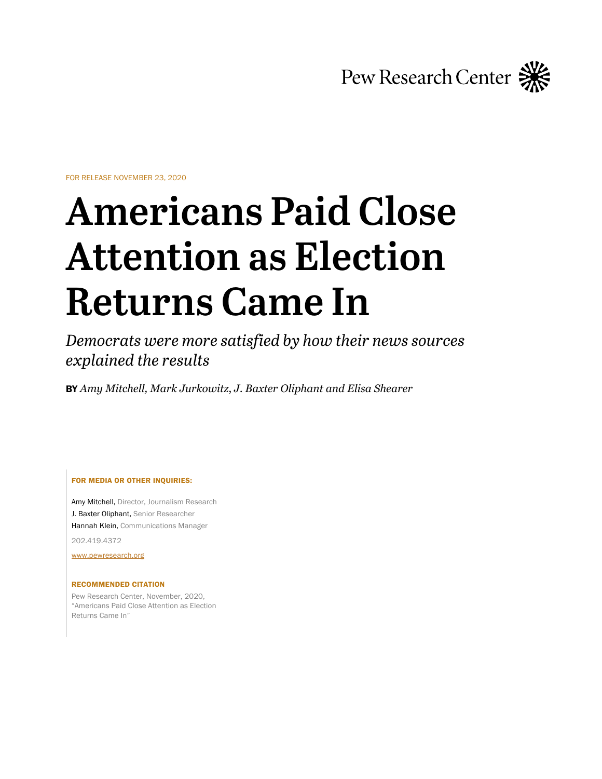

FOR RELEASE NOVEMBER 23, 2020

# **Americans Paid Close Attention as Election Returns Came In**

*Democrats were more satisfied by how their news sources explained the results*

BY *Amy Mitchell, Mark Jurkowitz*, *J. Baxter Oliphant and Elisa Shearer*

FOR MEDIA OR OTHER INQUIRIES:

Amy Mitchell, Director, Journalism Research J. Baxter Oliphant, Senior Researcher Hannah Klein, Communications Manager

202.419.4372

[www.pewresearch.org](http://www.pewresearch.org/)

#### RECOMMENDED CITATION

Pew Research Center, November, 2020, "Americans Paid Close Attention as Election Returns Came In"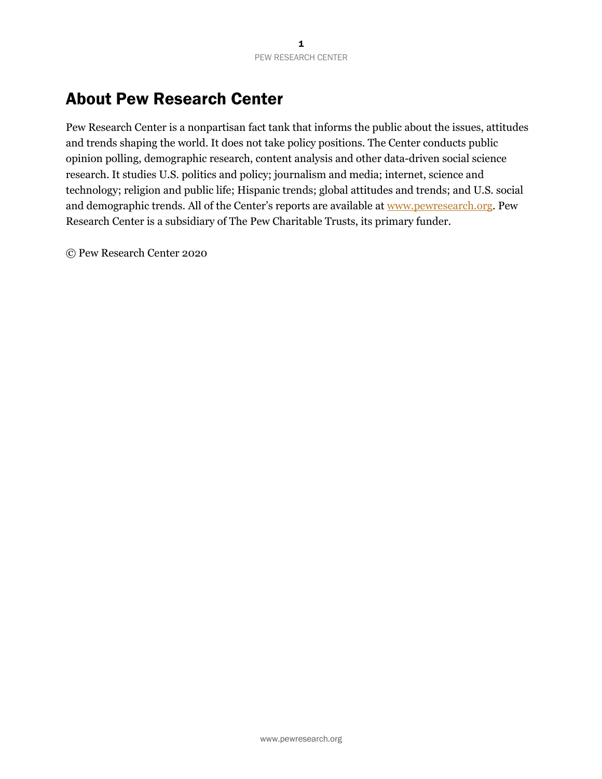# About Pew Research Center

Pew Research Center is a nonpartisan fact tank that informs the public about the issues, attitudes and trends shaping the world. It does not take policy positions. The Center conducts public opinion polling, demographic research, content analysis and other data-driven social science research. It studies U.S. politics and policy; journalism and media; internet, science and technology; religion and public life; Hispanic trends; global attitudes and trends; and U.S. social and demographic trends. All of the Center's reports are available at [www.pewresearch.org](https://www.pewresearch.org/). Pew Research Center is a subsidiary of The Pew Charitable Trusts, its primary funder.

© Pew Research Center 2020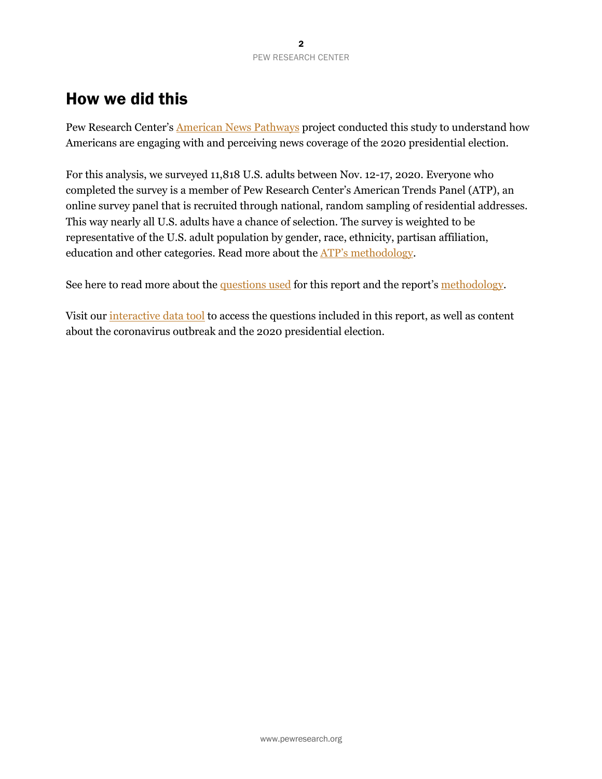# How we did this

Pew Research Center's **American News Pathways** project conducted this study to understand how Americans are engaging with and perceiving news coverage of the 2020 presidential election.

For this analysis, we surveyed 11,818 U.S. adults between Nov. 12-17, 2020. Everyone who completed the survey is a member of Pew Research Center's American Trends Panel (ATP), an online survey panel that is recruited through national, random sampling of residential addresses. This way nearly all U.S. adults have a chance of selection. The survey is weighted to be representative of the U.S. adult population by gender, race, ethnicity, partisan affiliation, education and other categories. Read more about the [ATP's methodology](https://www.pewresearch.org/methods/u-s-survey-research/american-trends-panel/).

See here to read more about the [questions used](https://www.journalism.org/wp-content/uploads/sites/8/2020/11/PJ_11.23.20_W78_pathways_topline.pdf) for this report and the report's [methodology](https://www.journalism.org/2020/11/23/methodology-71).

Visit our *interactive data tool* to access the questions included in this report, as well as content about the coronavirus outbreak and the 2020 presidential election.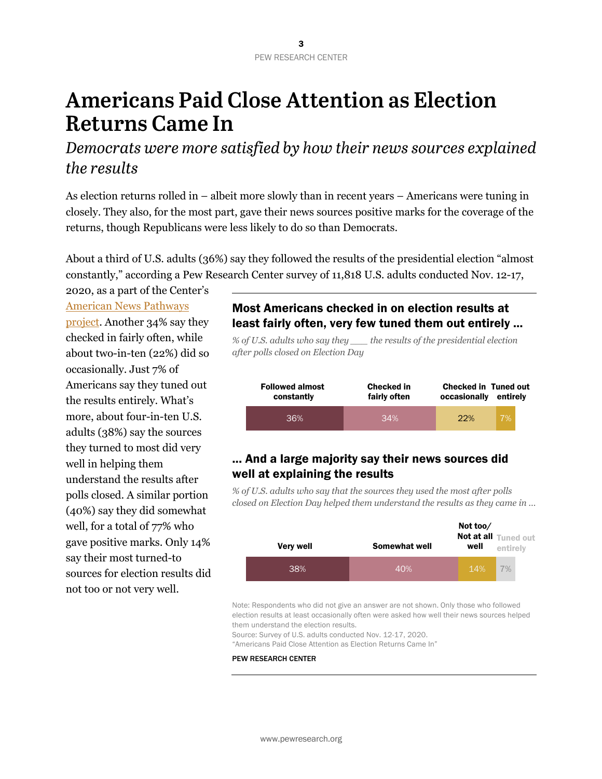# **Americans Paid Close Attention as Election Returns Came In**

*Democrats were more satisfied by how their news sources explained the results*

As election returns rolled in – albeit more slowly than in recent years – Americans were tuning in closely. They also, for the most part, gave their news sources positive marks for the coverage of the returns, though Republicans were less likely to do so than Democrats.

About a third of U.S. adults (36%) say they followed the results of the presidential election "almost constantly," according a Pew Research Center survey of 11,818 U.S. adults conducted Nov. 12-17,

2020, as a part of the Center's [American News Pathways](https://www.pewresearch.org/topics/american-news-pathways/) [project](https://www.pewresearch.org/topics/american-news-pathways/). Another 34% say they checked in fairly often, while about two-in-ten (22%) did so occasionally. Just 7% of Americans say they tuned out the results entirely. What's more, about four-in-ten U.S. adults (38%) say the sources they turned to most did very well in helping them understand the results after polls closed. A similar portion (40%) say they did somewhat well, for a total of 77% who gave positive marks. Only 14% say their most turned-to sources for election results did not too or not very well.

### Most Americans checked in on election results at least fairly often, very few tuned them out entirely ...

*% of U.S. adults who say they \_\_\_ the results of the presidential election after polls closed on Election Day*

| <b>Followed almost</b> | <b>Checked in</b> | <b>Checked in Tuned out</b> | entirely |
|------------------------|-------------------|-----------------------------|----------|
| constantly             | fairly often      | occasionally                |          |
| 36%                    | 34%               | 22%                         | 7%       |

## ... And a large majority say their news sources did well at explaining the results

*% of U.S. adults who say that the sources they used the most after polls closed on Election Day helped them understand the results as they came in …*

| <b>Very well</b> | Somewhat well | Not too/<br>well | Not at all Tuned out<br>entirely |
|------------------|---------------|------------------|----------------------------------|
| 38%              | 40%           | 14%              | 70/0                             |

Note: Respondents who did not give an answer are not shown. Only those who followed election results at least occasionally often were asked how well their news sources helped them understand the election results.

Source: Survey of U.S. adults conducted Nov. 12-17, 2020.

"Americans Paid Close Attention as Election Returns Came In"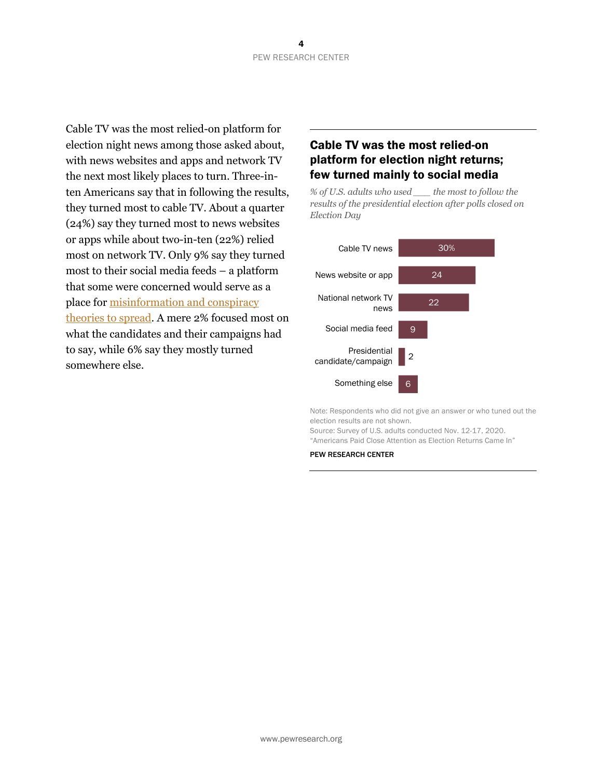Cable TV was the most relied-on platform for election night news among those asked about, with news websites and apps and network TV the next most likely places to turn. Three-inten Americans say that in following the results, they turned most to cable TV. About a quarter (24%) say they turned most to news websites or apps while about two-in-ten (22%) relied most on network TV. Only 9% say they turned most to their social media feeds – a platform that some were concerned would serve as a place for [misinformation and conspiracy](https://techcrunch.com/2020/11/04/trump-election-2020-premature-victory-facebook-twitter/) [theories to spread](https://techcrunch.com/2020/11/04/trump-election-2020-premature-victory-facebook-twitter/). A mere 2% focused most on what the candidates and their campaigns had to say, while 6% say they mostly turned somewhere else.

## Cable TV was the most relied-on platform for election night returns; few turned mainly to social media

*% of U.S. adults who used \_\_\_ the most to follow the results of the presidential election after polls closed on Election Day*



Note: Respondents who did not give an answer or who tuned out the election results are not shown.

Source: Survey of U.S. adults conducted Nov. 12-17, 2020.

"Americans Paid Close Attention as Election Returns Came In"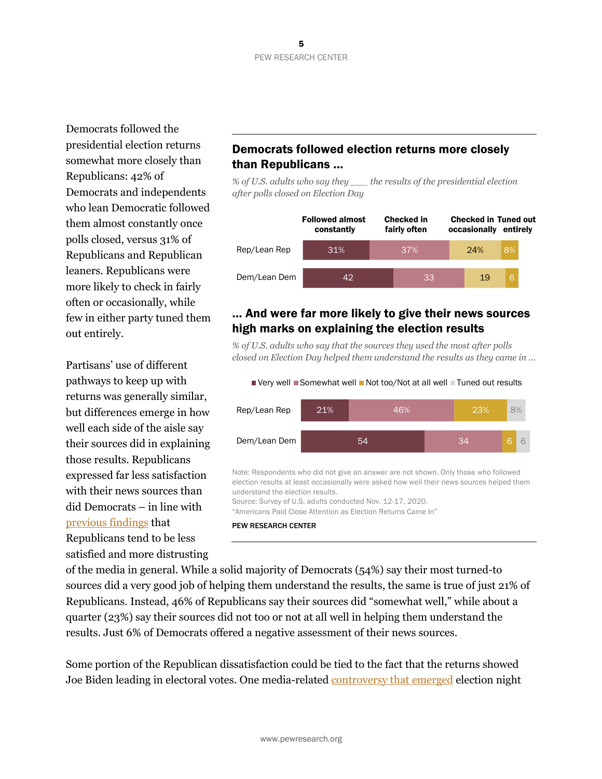Democrats followed the presidential election returns somewhat more closely than Republicans: 42% of Democrats and independents who lean Democratic followed them almost constantly once polls closed, versus 31% of Republicans and Republican leaners. Republicans were more likely to check in fairly often or occasionally, while few in either party tuned them out entirely.

Partisans' use of different pathways to keep up with returns was generally similar, but differences emerge in how well each side of the aisle say their sources did in explaining those results. Republicans expressed far less satisfaction with their news sources than did Democrats – in line with [previous findings](https://www.journalism.org/2019/12/12/trusting-the-news-media-in-the-trump-era/) that Republicans tend to be less satisfied and more distrusting

## Democrats followed election returns more closely than Republicans …

*% of U.S. adults who say they \_\_\_ the results of the presidential election after polls closed on Election Day*



### … And were far more likely to give their news sources high marks on explaining the election results

*% of U.S. adults who say that the sources they used the most after polls closed on Election Day helped them understand the results as they came in …*



Note: Respondents who did not give an answer are not shown. Only those who followed election results at least occasionally were asked how well their news sources helped them understand the election results.

Source: Survey of U.S. adults conducted Nov. 12-17, 2020.

"Americans Paid Close Attention as Election Returns Came In"

#### PEW RESEARCH CENTER

of the media in general. While a solid majority of Democrats (54%) say their most turned-to sources did a very good job of helping them understand the results, the same is true of just 21% of Republicans. Instead, 46% of Republicans say their sources did "somewhat well," while about a quarter (23%) say their sources did not too or not at all well in helping them understand the results. Just 6% of Democrats offered a negative assessment of their news sources.

Some portion of the Republican dissatisfaction could be tied to the fact that the returns showed Joe Biden leading in electoral votes. One media-related [controversy that emerged](https://www.forbes.com/sites/joewalsh/2020/11/04/trump-team-other-republicans-blast-fox-news-for-early-arizona-call-but-not-florida/?sh=65cc0b441655) election night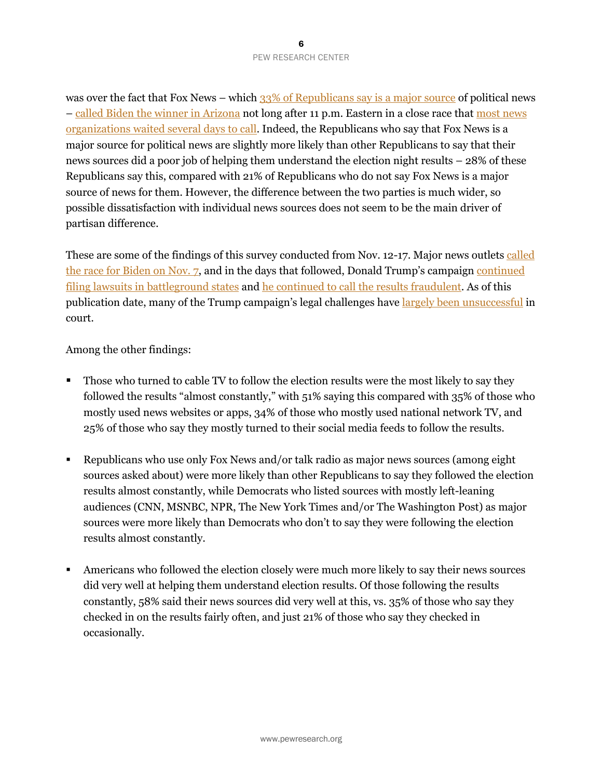was over the fact that Fox News – which [33% of Republicans say is a major source](https://www.pewresearch.org/pathways-2020/camp20news_a/political_party/us_adults/) of political news – [called Biden the winner in Arizona](https://www.nytimes.com/2020/11/04/us/politics/trump-fox-news-arizona.html) not long after 11 p.m. Eastern in a close race that [most news](https://www.washingtonpost.com/media/2020/11/07/fox-news-biden-president/) [organizations waited](https://www.washingtonpost.com/media/2020/11/07/fox-news-biden-president/) several days to call. Indeed, the Republicans who say that Fox News is a major source for political news are slightly more likely than other Republicans to say that their news sources did a poor job of helping them understand the election night results – 28% of these Republicans say this, compared with 21% of Republicans who do not say Fox News is a major source of news for them. However, the difference between the two parties is much wider, so possible dissatisfaction with individual news sources does not seem to be the main driver of partisan difference.

These are some of the findings of this survey conducted from Nov. 12-17. Major news outlets [called](https://www.latimes.com/entertainment-arts/business/story/2020-11-07/joe-biden-president-elect-television-news-networks) [the race for Biden on Nov.](https://www.latimes.com/entertainment-arts/business/story/2020-11-07/joe-biden-president-elect-television-news-networks) 7, and in the days that followed, Donald Trump's campaign [continued](https://abcnews.go.com/Politics/election-2020-trump-campaign-election-lawsuits-stand/story?id=74041748) [filing lawsuits in battleground states](https://abcnews.go.com/Politics/election-2020-trump-campaign-election-lawsuits-stand/story?id=74041748) and [he continued to call the results fraudulent](https://www.usatoday.com/story/news/politics/elections/2020/11/14/election-2020-gop-officials-swing-states-shoot-down-trump-fraud-claims/6271421002/). As of this publication date, many of the Trump campaign's legal challenges have [largely been unsuccessful](https://www.theguardian.com/us-news/2020/nov/19/trump-election-result-biden-legal-challenges) in court.

Among the other findings:

- Those who turned to cable TV to follow the election results were the most likely to say they followed the results "almost constantly," with 51% saying this compared with 35% of those who mostly used news websites or apps, 34% of those who mostly used national network TV, and 25% of those who say they mostly turned to their social media feeds to follow the results.
- Republicans who use only Fox News and/or talk radio as major news sources (among eight sources asked about) were more likely than other Republicans to say they followed the election results almost constantly, while Democrats who listed sources with mostly left-leaning audiences (CNN, MSNBC, NPR, The New York Times and/or The Washington Post) as major sources were more likely than Democrats who don't to say they were following the election results almost constantly.
- Americans who followed the election closely were much more likely to say their news sources did very well at helping them understand election results. Of those following the results constantly, 58% said their news sources did very well at this, vs. 35% of those who say they checked in on the results fairly often, and just 21% of those who say they checked in occasionally.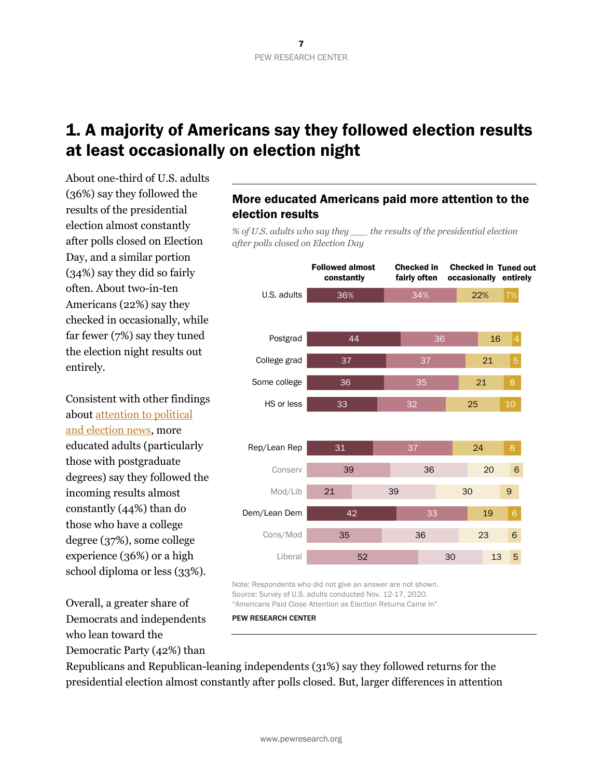# at least occasionally on election night

About one-third of U.S. adults (36%) say they followed the results of the presidential election almost constantly after polls closed on Election Day, and a similar portion (34%) say they did so fairly often. About two-in-ten Americans (22%) say they checked in occasionally, while far fewer (7%) say they tuned the election night results out entirely.

Consistent with other findings about [attention to political](https://www.pewresearch.org/pathways-2020/FOLELECT/education/us_adults) [and election news](https://www.pewresearch.org/pathways-2020/FOLELECT/education/us_adults), more educated adults (particularly those with postgraduate degrees) say they followed the incoming results almost constantly (44%) than do those who have a college degree (37%), some college experience (36%) or a high school diploma or less (33%).

Overall, a greater share of Democrats and independents who lean toward the Democratic Party (42%) than

## More educated Americans paid more attention to the election results

*% of U.S. adults who say they \_\_\_ the results of the presidential election after polls closed on Election Day*



Note: Respondents who did not give an answer are not shown. Source: Survey of U.S. adults conducted Nov. 12-17, 2020. "Americans Paid Close Attention as Election Returns Came In"

PEW RESEARCH CENTER

Republicans and Republican-leaning independents (31%) say they followed returns for the presidential election almost constantly after polls closed. But, larger differences in attention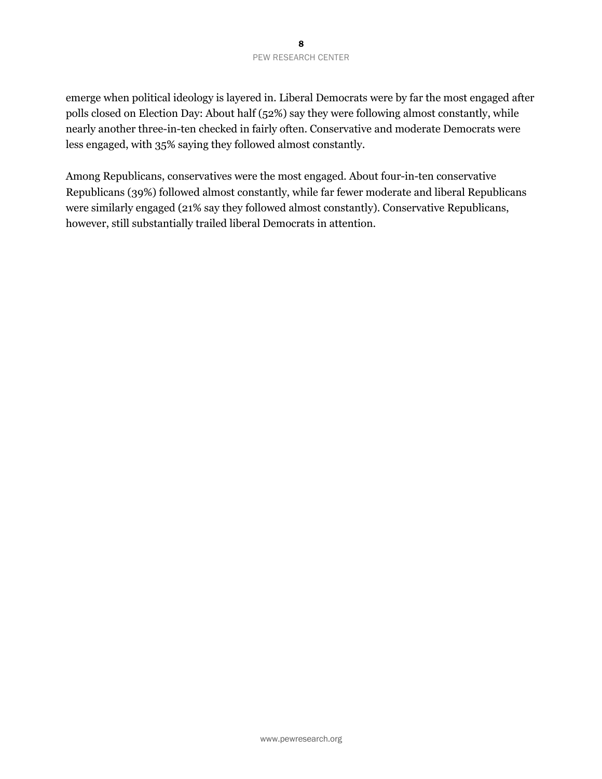emerge when political ideology is layered in. Liberal Democrats were by far the most engaged after polls closed on Election Day: About half (52%) say they were following almost constantly, while nearly another three-in-ten checked in fairly often. Conservative and moderate Democrats were less engaged, with 35% saying they followed almost constantly.

Among Republicans, conservatives were the most engaged. About four-in-ten conservative Republicans (39%) followed almost constantly, while far fewer moderate and liberal Republicans were similarly engaged (21% say they followed almost constantly). Conservative Republicans, however, still substantially trailed liberal Democrats in attention.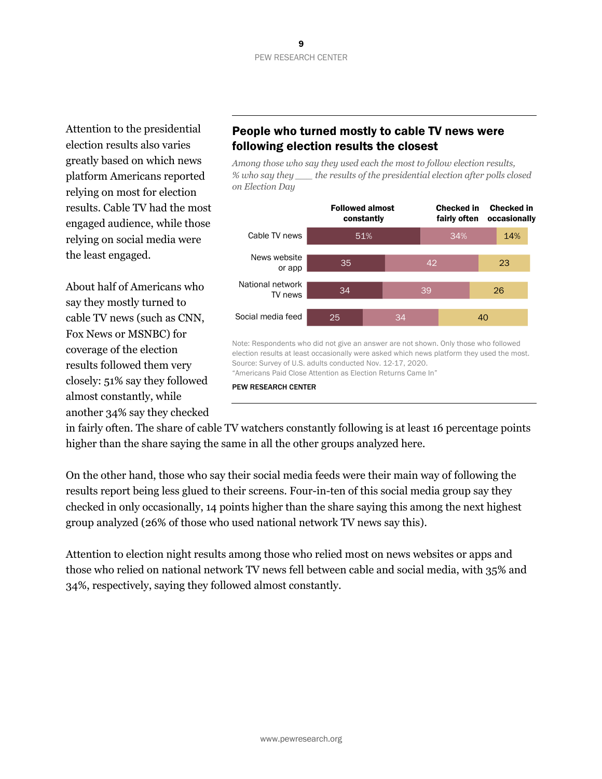Attention to the presidential election results also varies greatly based on which news platform Americans reported relying on most for election results. Cable TV had the most engaged audience, while those relying on social media were the least engaged.

About half of Americans who say they mostly turned to cable TV news (such as CNN, Fox News or MSNBC) for coverage of the election results followed them very closely: 51% say they followed almost constantly, while another 34% say they checked

## People who turned mostly to cable TV news were following election results the closest

*Among those who say they used each the most to follow election results, % who say they \_\_\_ the results of the presidential election after polls closed on Election Day*



PEW RESEARCH CENTER

in fairly often. The share of cable TV watchers constantly following is at least 16 percentage points higher than the share saying the same in all the other groups analyzed here.

On the other hand, those who say their social media feeds were their main way of following the results report being less glued to their screens. Four-in-ten of this social media group say they checked in only occasionally, 14 points higher than the share saying this among the next highest group analyzed (26% of those who used national network TV news say this).

Attention to election night results among those who relied most on news websites or apps and those who relied on national network TV news fell between cable and social media, with 35% and 34%, respectively, saying they followed almost constantly.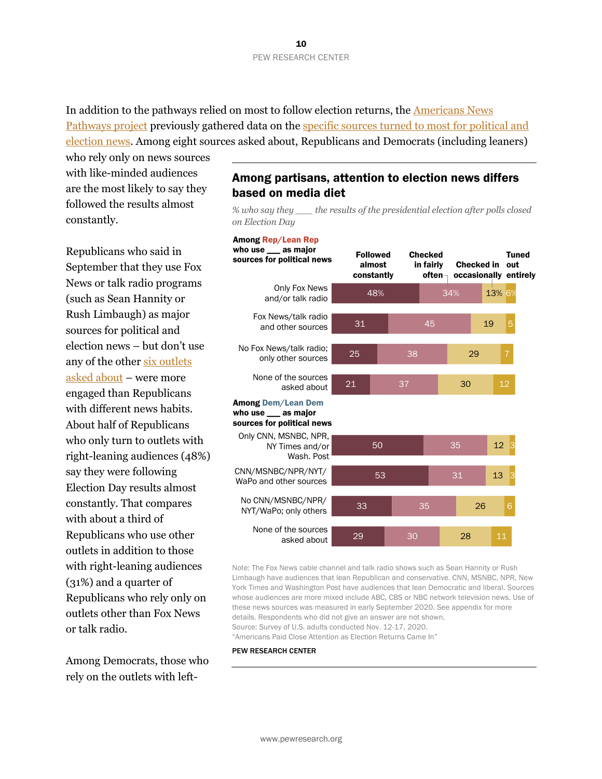In addition to the pathways relied on most to follow election returns, the [Americans News](https://www.pewresearch.org/topics/american-news-pathways/) [Pathways project](https://www.pewresearch.org/topics/american-news-pathways/) previously gathered data on the specific sources turned to most for political and election new[s. Among eight sources asked about, Republicans and Democrats \(i](#page-18-0)ncluding leaners)

who rely only on news sources with like-minded audiences are the most likely to say they followed the results almost constantly.

Republicans who said in September that they use Fox News or talk radio programs (such as Sean Hannity or Rush Limbaugh) as major sources for political and election news – but don't use any of the other six outlets asked about – [were more](#page-18-0) [engaged th](#page-18-0)an Republicans with different news habits. About half of Republicans who only turn to outlets with right-leaning audiences (48%) say they were following Election Day results almost constantly. That compares with about a third of Republicans who use other outlets in addition to those with right-leaning audiences (31%) and a quarter of Republicans who rely only on outlets other than Fox News or talk radio.

Among Democrats, those who rely on the outlets with left-

#### Among partisans, attention to election news differs based on media diet

*% who say they \_\_\_ the results of the presidential election after polls closed on Election Day*

#### Among Rep/Lean Rep

48% 31 25 21 50 53 33 29 34% 45 38 37 35 31 35 30 13% 19 29 30  $12$ 13 26 28 6% 5 12 6 Followed almost constantly **Checked** in fairly often $_{\top}$ Checked in out occasionally entirely Tuned Only Fox News and/or talk radio Fox News/talk radio and other sources No Fox News/talk radio; only other sources Only CNN, MSNBC, NPR, NY Times and/or Wash. Post CNN/MSNBC/NPR/NYT/ WaPo and other sources No CNN/MSNBC/NPR/ NYT/WaPo; only others None of the sources asked about None of the sources asked about who use \_\_\_ as major sources for political news Among Dem/Lean Dem who use \_\_\_ as major sources for political news

Note: The Fox News cable channel and talk radio shows such as Sean Hannity or Rush Limbaugh have audiences that lean Republican and conservative. CNN, MSNBC, NPR, New York Times and Washington Post have audiences that lean Democratic and liberal. Sources whose audiences are more mixed include ABC, CBS or NBC network television news. Use of these news sources was measured in early September 2020. See appendix for more details. Respondents who did not give an answer are not shown. Source: Survey of U.S. adults conducted Nov. 12-17, 2020. "Americans Paid Close Attention as Election Returns Came In"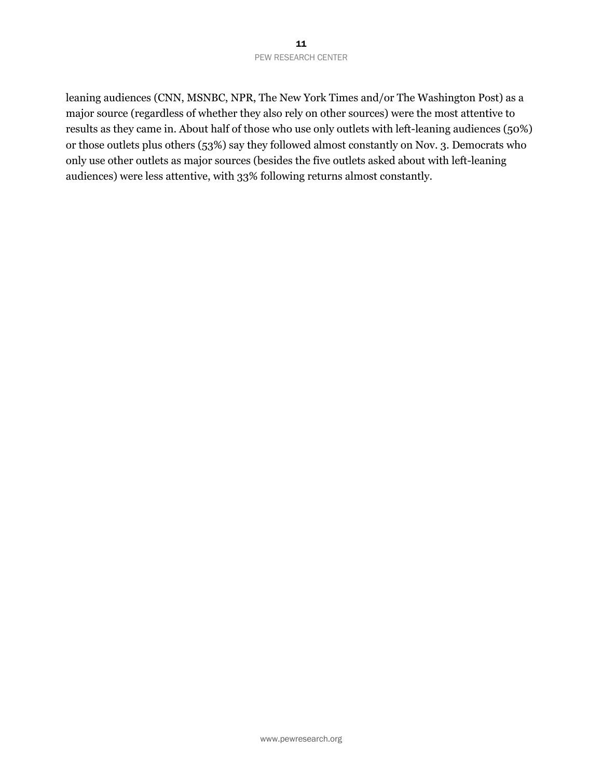leaning audiences (CNN, MSNBC, NPR, The New York Times and/or The Washington Post) as a major source (regardless of whether they also rely on other sources) were the most attentive to results as they came in. About half of those who use only outlets with left-leaning audiences (50%) or those outlets plus others (53%) say they followed almost constantly on Nov. 3. Democrats who only use other outlets as major sources (besides the five outlets asked about with left-leaning audiences) were less attentive, with 33% following returns almost constantly.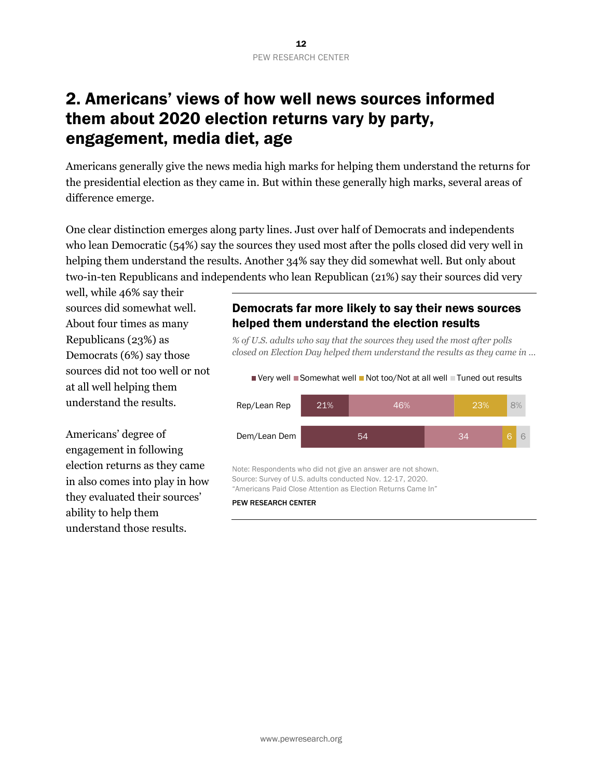# 2. Americans' views of how well news sources informed them about 2020 election returns vary by party, engagement, media diet, age

Americans generally give the news media high marks for helping them understand the returns for the presidential election as they came in. But within these generally high marks, several areas of difference emerge.

One clear distinction emerges along party lines. Just over half of Democrats and independents who lean Democratic (54%) say the sources they used most after the polls closed did very well in helping them understand the results. Another 34% say they did somewhat well. But only about two-in-ten Republicans and independents who lean Republican (21%) say their sources did very

well, while 46% say their sources did somewhat well. About four times as many Republicans (23%) as Democrats (6%) say those sources did not too well or not at all well helping them understand the results.

Americans' degree of engagement in following election returns as they came in also comes into play in how they evaluated their sources' ability to help them understand those results.

#### Democrats far more likely to say their news sources helped them understand the election results

*% of U.S. adults who say that the sources they used the most after polls closed on Election Day helped them understand the results as they came in …*



Note: Respondents who did not give an answer are not shown. Source: Survey of U.S. adults conducted Nov. 12-17, 2020. "Americans Paid Close Attention as Election Returns Came In"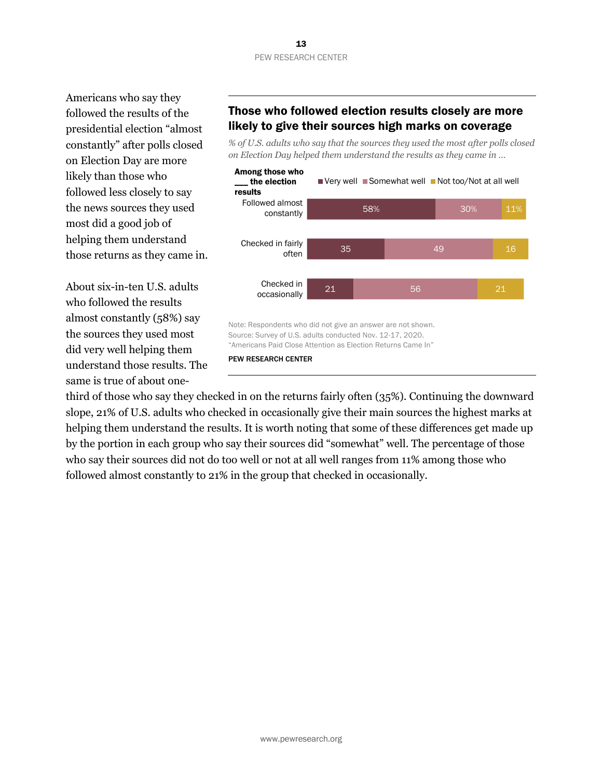Americans who say they followed the results of the presidential election "almost constantly" after polls closed on Election Day are more likely than those who followed less closely to say the news sources they used most did a good job of helping them understand those returns as they came in.

About six-in-ten U.S. adults who followed the results almost constantly (58%) say the sources they used most did very well helping them understand those results. The same is true of about one-

## Those who followed election results closely are more likely to give their sources high marks on coverage

*% of U.S. adults who say that the sources they used the most after polls closed on Election Day helped them understand the results as they came in …*



PEW RESEARCH CENTER

third of those who say they checked in on the returns fairly often (35%). Continuing the downward slope, 21% of U.S. adults who checked in occasionally give their main sources the highest marks at helping them understand the results. It is worth noting that some of these differences get made up by the portion in each group who say their sources did "somewhat" well. The percentage of those who say their sources did not do too well or not at all well ranges from 11% among those who followed almost constantly to 21% in the group that checked in occasionally.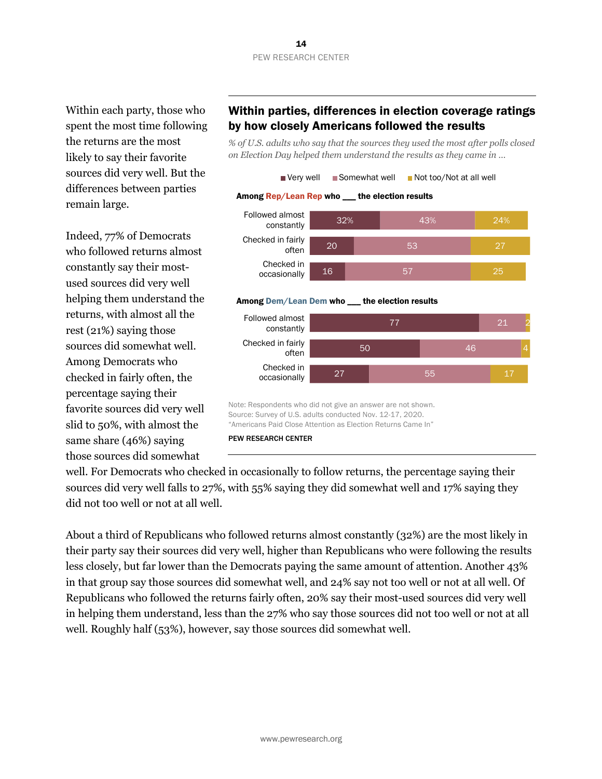Within each party, those who spent the most time following the returns are the most likely to say their favorite sources did very well. But the differences between parties remain large.

Indeed, 77% of Democrats who followed returns almost constantly say their mostused sources did very well helping them understand the returns, with almost all the rest (21%) saying those sources did somewhat well. Among Democrats who checked in fairly often, the percentage saying their favorite sources did very well slid to 50%, with almost the same share (46%) saying those sources did somewhat

## Within parties, differences in election coverage ratings by how closely Americans followed the results

*% of U.S. adults who say that the sources they used the most after polls closed on Election Day helped them understand the results as they came in …*



#### Among Dem/Lean Dem who \_\_\_ the election results



Note: Respondents who did not give an answer are not shown. Source: Survey of U.S. adults conducted Nov. 12-17, 2020. "Americans Paid Close Attention as Election Returns Came In"

PEW RESEARCH CENTER

well. For Democrats who checked in occasionally to follow returns, the percentage saying their sources did very well falls to 27%, with 55% saying they did somewhat well and 17% saying they did not too well or not at all well.

About a third of Republicans who followed returns almost constantly (32%) are the most likely in their party say their sources did very well, higher than Republicans who were following the results less closely, but far lower than the Democrats paying the same amount of attention. Another 43% in that group say those sources did somewhat well, and 24% say not too well or not at all well. Of Republicans who followed the returns fairly often, 20% say their most-used sources did very well in helping them understand, less than the 27% who say those sources did not too well or not at all well. Roughly half (53%), however, say those sources did somewhat well.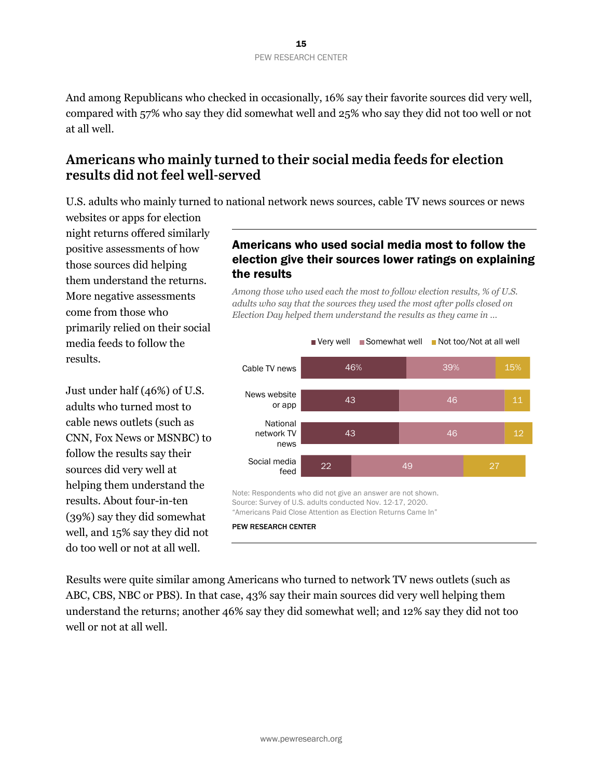And among Republicans who checked in occasionally, 16% say their favorite sources did very well, compared with 57% who say they did somewhat well and 25% who say they did not too well or not at all well.

## **Americans who mainly turned to their social media feeds for election results did not feel well-served**

U.S. adults who mainly turned to national network news sources, cable TV news sources or news

websites or apps for election night returns offered similarly positive assessments of how those sources did helping them understand the returns. More negative assessments come from those who primarily relied on their social media feeds to follow the results.

Just under half (46%) of U.S. adults who turned most to cable news outlets (such as CNN, Fox News or MSNBC) to follow the results say their sources did very well at helping them understand the results. About four-in-ten (39%) say they did somewhat well, and 15% say they did not do too well or not at all well.

## Americans who used social media most to follow the election give their sources lower ratings on explaining the results

*Among those who used each the most to follow election results, % of U.S. adults who say that the sources they used the most after polls closed on Election Day helped them understand the results as they came in …*



Results were quite similar among Americans who turned to network TV news outlets (such as ABC, CBS, NBC or PBS). In that case, 43% say their main sources did very well helping them understand the returns; another 46% say they did somewhat well; and 12% say they did not too well or not at all well.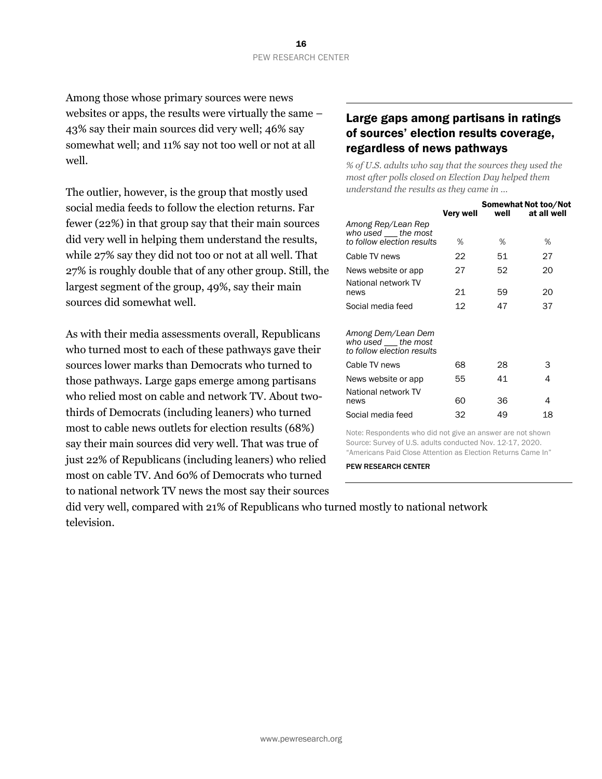Among those whose primary sources were news websites or apps, the results were virtually the same – 43% say their main sources did very well; 46% say somewhat well; and 11% say not too well or not at all well.

The outlier, however, is the group that mostly used social media feeds to follow the election returns. Far fewer (22%) in that group say that their main sources did very well in helping them understand the results, while 27% say they did not too or not at all well. That 27% is roughly double that of any other group. Still, the largest segment of the group, 49%, say their main sources did somewhat well.

As with their media assessments overall, Republicans who turned most to each of these pathways gave their sources lower marks than Democrats who turned to those pathways. Large gaps emerge among partisans who relied most on cable and network TV. About twothirds of Democrats (including leaners) who turned most to cable news outlets for election results (68%) say their main sources did very well. That was true of just 22% of Republicans (including leaners) who relied most on cable TV. And 60% of Democrats who turned to national network TV news the most say their sources

#### Large gaps among partisans in ratings of sources' election results coverage, regardless of news pathways

*% of U.S. adults who say that the sources they used the most after polls closed on Election Day helped them understand the results as they came in …*

|                                                                            | Very well |    | Somewhat Not too/Not<br>well at all well |
|----------------------------------------------------------------------------|-----------|----|------------------------------------------|
| Among Rep/Lean Rep<br>who used the most<br>to follow election results      | ℅         | %  | ℅                                        |
| Cable TV news                                                              | 22        | 51 | 27                                       |
| News website or app                                                        | 27        | 52 | 20                                       |
| National network TV<br>news                                                | 21        | 59 | 20                                       |
| Social media feed                                                          | 12        | 47 | 37                                       |
| Among Dem/Lean Dem<br>who used ____ the most<br>to follow election results |           |    |                                          |
| Cable TV news                                                              | 68        | 28 | 3                                        |
| News website or app                                                        | 55        | 41 | 4                                        |
| National network TV<br>news                                                | 60        | 36 | 4                                        |
| Social media feed                                                          | 32        | 49 | 18                                       |

Note: Respondents who did not give an answer are not shown Source: Survey of U.S. adults conducted Nov. 12-17, 2020. "Americans Paid Close Attention as Election Returns Came In"

PEW RESEARCH CENTER

did very well, compared with 21% of Republicans who turned mostly to national network television.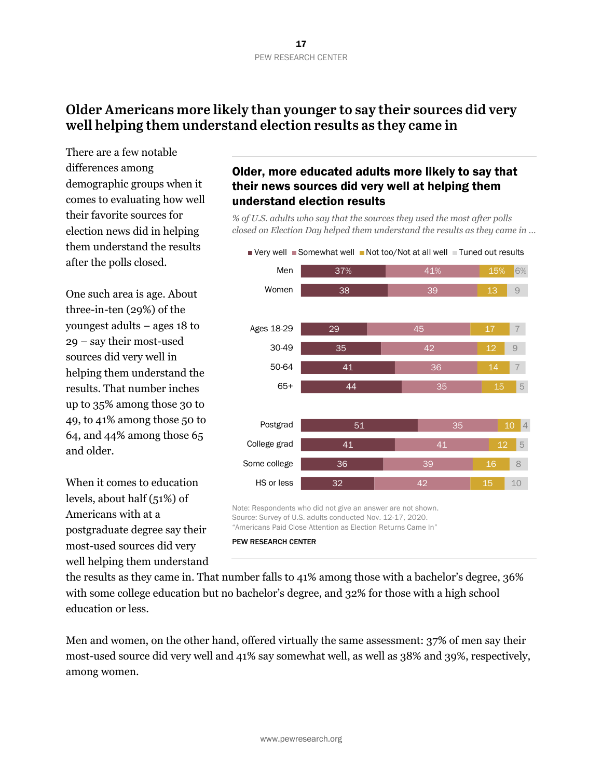## **Older Americans more likely than younger to say their sources did very well helping them understand election results as they came in**

There are a few notable differences among demographic groups when it comes to evaluating how well their favorite sources for election news did in helping them understand the results after the polls closed.

One such area is age. About three-in-ten (29%) of the youngest adults – ages 18 to 29 – say their most-used sources did very well in helping them understand the results. That number inches up to 35% among those 30 to 49, to 41% among those 50 to 64, and 44% among those 65 and older.

When it comes to education levels, about half (51%) of Americans with at a postgraduate degree say their most-used sources did very well helping them understand

## Older, more educated adults more likely to say that their news sources did very well at helping them understand election results

*% of U.S. adults who say that the sources they used the most after polls closed on Election Day helped them understand the results as they came in …*



 $\blacksquare$  Very well  $\blacksquare$  Somewhat well  $\blacksquare$  Not too/Not at all well  $\blacksquare$  Tuned out results

Note: Respondents who did not give an answer are not shown. Source: Survey of U.S. adults conducted Nov. 12-17, 2020. "Americans Paid Close Attention as Election Returns Came In"

PEW RESEARCH CENTER

the results as they came in. That number falls to 41% among those with a bachelor's degree, 36% with some college education but no bachelor's degree, and 32% for those with a high school education or less.

Men and women, on the other hand, offered virtually the same assessment: 37% of men say their most-used source did very well and 41% say somewhat well, as well as 38% and 39%, respectively, among women.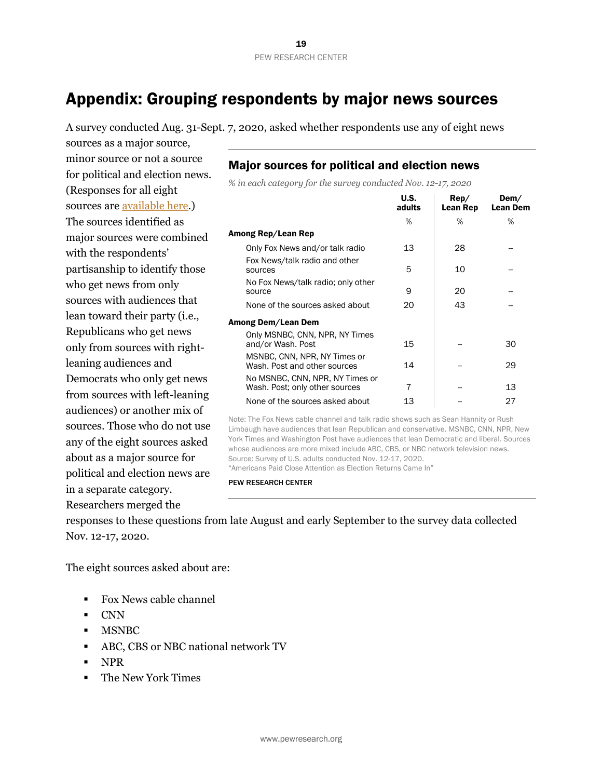# Appendix: Grouping respondents by major news sources

A survey conducted Aug. 31-Sept. 7, 2020, asked whether respondents use any of eight news

sources as a major source, minor source or not a source for political and election news. (Responses for all eight sources are [available here](https://www.pewresearch.org/pathways-2020/CAMP20NEWS_A/political_party/us_adults).) The sources identified as major sources were combined with the respondents' partisanship to identify those who get news from only sources with audiences that lean toward their party (i.e., Republicans who get news only from sources with rightleaning audiences and Democrats who only get news from sources with left-leaning audiences) or another mix of sources. Those who do not use any of the eight sources asked about as a major source for political and election news are in a separate category. Researchers merged the

## Major sources for political and election news

*% in each category for the survey conducted Nov. 12-17, 2020*

|                                                                   | U.S.<br>adults | Rep/<br>Lean Rep | Dem/<br><b>Lean Dem</b> |
|-------------------------------------------------------------------|----------------|------------------|-------------------------|
|                                                                   | %              | %                | %                       |
| Among Rep/Lean Rep                                                |                |                  |                         |
| Only Fox News and/or talk radio                                   | 13             | 28               |                         |
| Fox News/talk radio and other<br>sources                          | 5              | 10               |                         |
| No Fox News/talk radio; only other<br>source                      | 9              | 20               |                         |
| None of the sources asked about                                   | 20             | 43               |                         |
| Among Dem/Lean Dem                                                |                |                  |                         |
| Only MSNBC, CNN, NPR, NY Times<br>and/or Wash. Post               | 15             |                  | 30                      |
| MSNBC, CNN, NPR, NY Times or<br>Wash. Post and other sources      | 14             |                  | 29                      |
| No MSNBC, CNN, NPR, NY Times or<br>Wash. Post; only other sources | 7              |                  | 13                      |
| None of the sources asked about                                   | 13             |                  | 27                      |

Note: The Fox News cable channel and talk radio shows such as Sean Hannity or Rush Limbaugh have audiences that lean Republican and conservative. MSNBC, CNN, NPR, New York Times and Washington Post have audiences that lean Democratic and liberal. Sources whose audiences are more mixed include ABC, CBS, or NBC network television news. Source: Survey of U.S. adults conducted Nov. 12-17, 2020. "Americans Paid Close Attention as Election Returns Came In"

PEW RESEARCH CENTER

responses to these questions from late August and early September to the survey data collected Nov. 12-17, 2020.

The eight sources asked about are:

- § Fox News cable channel
- § CNN
- § MSNBC
- § ABC, CBS or NBC national network TV
- § NPR
- § The New York Times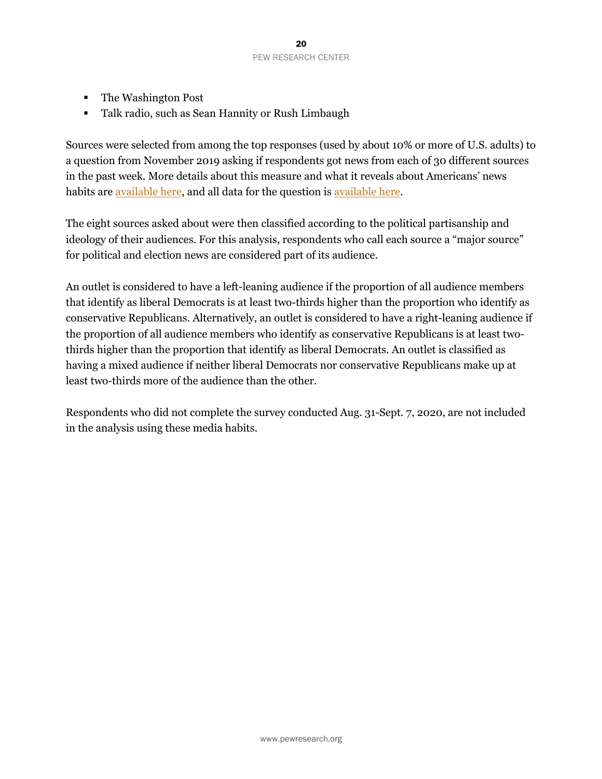- The Washington Post
- Talk radio, such as Sean Hannity or Rush Limbaugh

Sources were selected from among the top responses (used by about 10% or more of U.S. adults) to a question from November 2019 asking if respondents got news from each of 30 different sources in the past week. More details about this measure and what it reveals about Americans' news habits are [available here](https://www.journalism.org/2020/01/24/u-s-media-polarization-and-the-2020-election-a-nation-divided/), and all data for the question is [available here](https://www.pewresearch.org/pathways-2020/SOURCEUSE_1/political_party/us_adults).

The eight sources asked about were then classified according to the political partisanship and ideology of their audiences. For this analysis, respondents who call each source a "major source" for political and election news are considered part of its audience.

An outlet is considered to have a left-leaning audience if the proportion of all audience members that identify as liberal Democrats is at least two-thirds higher than the proportion who identify as conservative Republicans. Alternatively, an outlet is considered to have a right-leaning audience if the proportion of all audience members who identify as conservative Republicans is at least twothirds higher than the proportion that identify as liberal Democrats. An outlet is classified as having a mixed audience if neither liberal Democrats nor conservative Republicans make up at least two-thirds more of the audience than the other.

Respondents who did not complete the survey conducted Aug. 31-Sept. 7, 2020, are not included in the analysis using these media habits.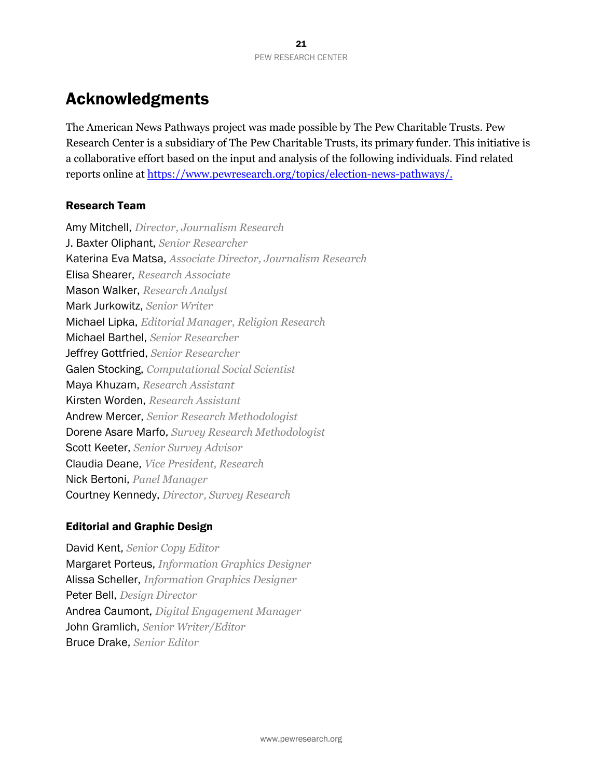## Acknowledgments

The American News Pathways project was made possible by The Pew Charitable Trusts. Pew Research Center is a subsidiary of The Pew Charitable Trusts, its primary funder. This initiative is a collaborative effort based on the input and analysis of the following individuals. Find related reports online at<https://www.pewresearch.org/topics/election-news-pathways/>.

#### Research Team

Amy Mitchell, *Director, Journalism Research* J. Baxter Oliphant, *Senior Researcher* Katerina Eva Matsa, *Associate Director, Journalism Research* Elisa Shearer, *Research Associate* Mason Walker, *Research Analyst* Mark Jurkowitz, *Senior Writer* Michael Lipka, *Editorial Manager, Religion Research* Michael Barthel, *Senior Researcher* Jeffrey Gottfried, *Senior Researcher* Galen Stocking, *Computational Social Scientist* Maya Khuzam, *Research Assistant* Kirsten Worden, *Research Assistant* Andrew Mercer, *Senior Research Methodologist* Dorene Asare Marfo, *Survey Research Methodologist* Scott Keeter, *Senior Survey Advisor* Claudia Deane, *Vice President, Research* Nick Bertoni, *Panel Manager* Courtney Kennedy, *Director, Survey Research*

#### Editorial and Graphic Design

David Kent, *Senior Copy Editor* Margaret Porteus, *Information Graphics Designer* Alissa Scheller, *Information Graphics Designer* Peter Bell, *Design Director* Andrea Caumont, *Digital Engagement Manager* John Gramlich, *Senior Writer/Editor* Bruce Drake, *Senior Editor*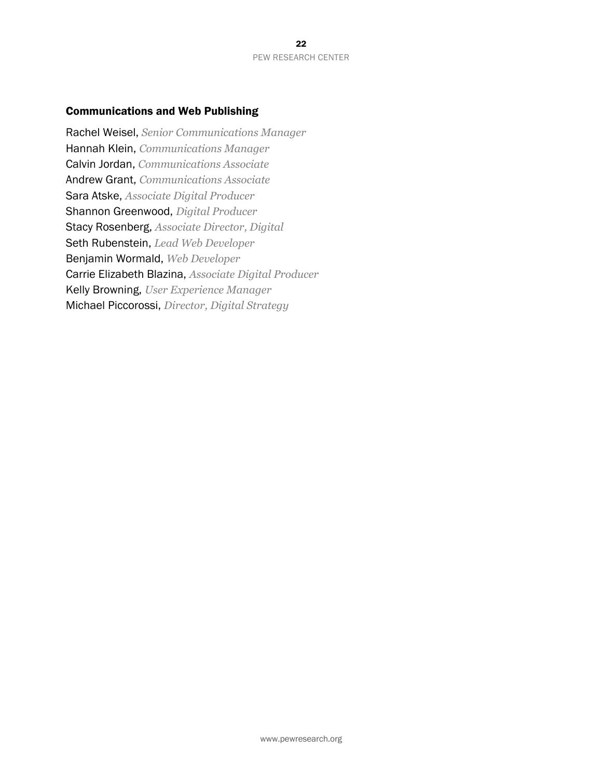#### Communications and Web Publishing

Rachel Weisel, *Senior Communications Manager* Hannah Klein, *Communications Manager* Calvin Jordan, *Communications Associate* Andrew Grant, *Communications Associate* Sara Atske, *Associate Digital Producer* Shannon Greenwood, *Digital Producer* Stacy Rosenberg, *Associate Director, Digital* Seth Rubenstein, *Lead Web Developer* Benjamin Wormald, *Web Developer* Carrie Elizabeth Blazina, *Associate Digital Producer* Kelly Browning, *User Experience Manager* Michael Piccorossi, *Director, Digital Strategy*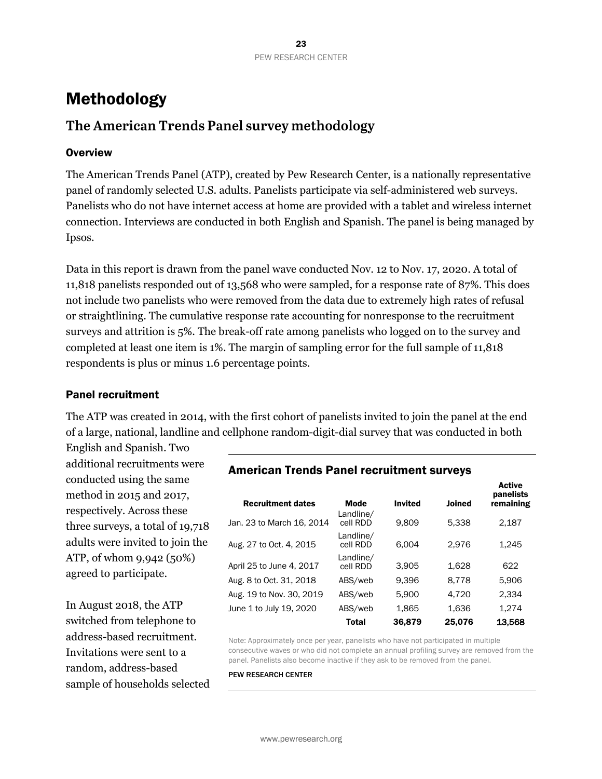# Methodology

## **The American Trends Panel survey methodology**

#### **Overview**

The American Trends Panel (ATP), created by Pew Research Center, is a nationally representative panel of randomly selected U.S. adults. Panelists participate via self-administered web surveys. Panelists who do not have internet access at home are provided with a tablet and wireless internet connection. Interviews are conducted in both English and Spanish. The panel is being managed by Ipsos.

Data in this report is drawn from the panel wave conducted Nov. 12 to Nov. 17, 2020. A total of 11,818 panelists responded out of 13,568 who were sampled, for a response rate of 87%. This does not include two panelists who were removed from the data due to extremely high rates of refusal or straightlining. The cumulative response rate accounting for nonresponse to the recruitment surveys and attrition is 5%. The break-off rate among panelists who logged on to the survey and completed at least one item is 1%. The margin of sampling error for the full sample of 11,818 respondents is plus or minus 1.6 percentage points.

#### Panel recruitment

The ATP was created in 2014, with the first cohort of panelists invited to join the panel at the end of a large, national, landline and cellphone random-digit-dial survey that was conducted in both

English and Spanish. Two additional recruitments were conducted using the same method in 2015 and 2017, respectively. Across these three surveys, a total of 19,718 adults were invited to join the ATP, of whom 9,942 (50%) agreed to participate.

In August 2018, the ATP switched from telephone to address-based recruitment. Invitations were sent to a random, address-based sample of households selected

### American Trends Panel recruitment surveys

| <b>Recruitment dates</b>  | <b>Mode</b><br>Landline/ | <b>Invited</b> | <b>Joined</b> | <b>Active</b><br>panelists<br>remaining |
|---------------------------|--------------------------|----------------|---------------|-----------------------------------------|
| Jan. 23 to March 16, 2014 | cell RDD                 | 9.809          | 5.338         | 2,187                                   |
| Aug. 27 to Oct. 4, 2015   | Landline/<br>cell RDD    | 6.004          | 2.976         | 1.245                                   |
| April 25 to June 4, 2017  | Landline/<br>cell RDD    | 3,905          | 1.628         | 622                                     |
| Aug. 8 to Oct. 31, 2018   | ABS/web                  | 9.396          | 8.778         | 5.906                                   |
| Aug. 19 to Nov. 30, 2019  | ABS/web                  | 5.900          | 4.720         | 2.334                                   |
| June 1 to July 19, 2020   | ABS/web                  | 1.865          | 1.636         | 1.274                                   |
|                           | Total                    | 36,879         | 25,076        | 13.568                                  |

Note: Approximately once per year, panelists who have not participated in multiple consecutive waves or who did not complete an annual profiling survey are removed from the panel. Panelists also become inactive if they ask to be removed from the panel.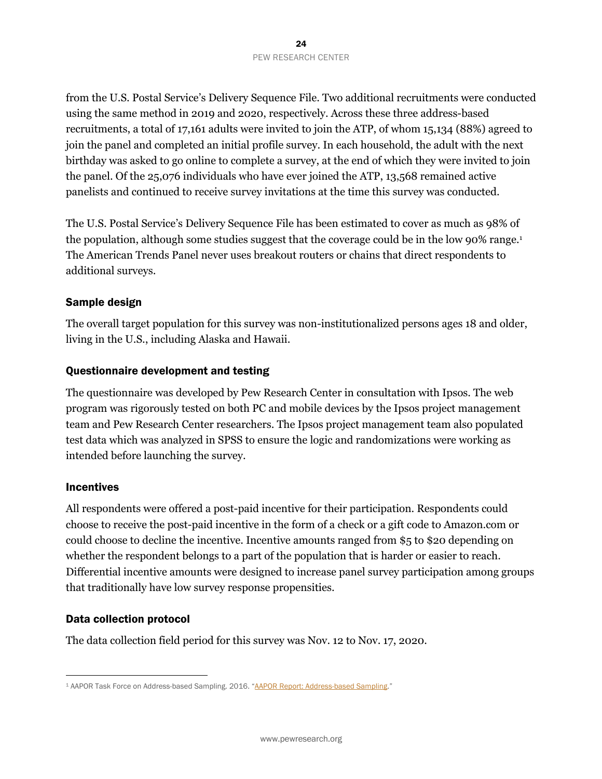from the U.S. Postal Service's Delivery Sequence File. Two additional recruitments were conducted using the same method in 2019 and 2020, respectively. Across these three address-based recruitments, a total of 17,161 adults were invited to join the ATP, of whom 15,134 (88%) agreed to join the panel and completed an initial profile survey. In each household, the adult with the next birthday was asked to go online to complete a survey, at the end of which they were invited to join the panel. Of the 25,076 individuals who have ever joined the ATP, 13,568 remained active panelists and continued to receive survey invitations at the time this survey was conducted.

The U.S. Postal Service's Delivery Sequence File has been estimated to cover as much as 98% of the population, although some studies suggest that the coverage could be in the low 90% range.<sup>1</sup> The American Trends Panel never uses breakout routers or chains that direct respondents to additional surveys.

#### Sample design

The overall target population for this survey was non-institutionalized persons ages 18 and older, living in the U.S., including Alaska and Hawaii.

#### Questionnaire development and testing

The questionnaire was developed by Pew Research Center in consultation with Ipsos. The web program was rigorously tested on both PC and mobile devices by the Ipsos project management team and Pew Research Center researchers. The Ipsos project management team also populated test data which was analyzed in SPSS to ensure the logic and randomizations were working as intended before launching the survey.

#### **Incentives**

All respondents were offered a post-paid incentive for their participation. Respondents could choose to receive the post-paid incentive in the form of a check or a gift code to Amazon.com or could choose to decline the incentive. Incentive amounts ranged from \$5 to \$20 depending on whether the respondent belongs to a part of the population that is harder or easier to reach. Differential incentive amounts were designed to increase panel survey participation among groups that traditionally have low survey response propensities.

#### Data collection protocol

The data collection field period for this survey was Nov. 12 to Nov. 17, 2020.

<sup>1</sup> AAPOR Task Force on Address-based Sampling. 2016. "AAPOR Report: Address-based Sampling."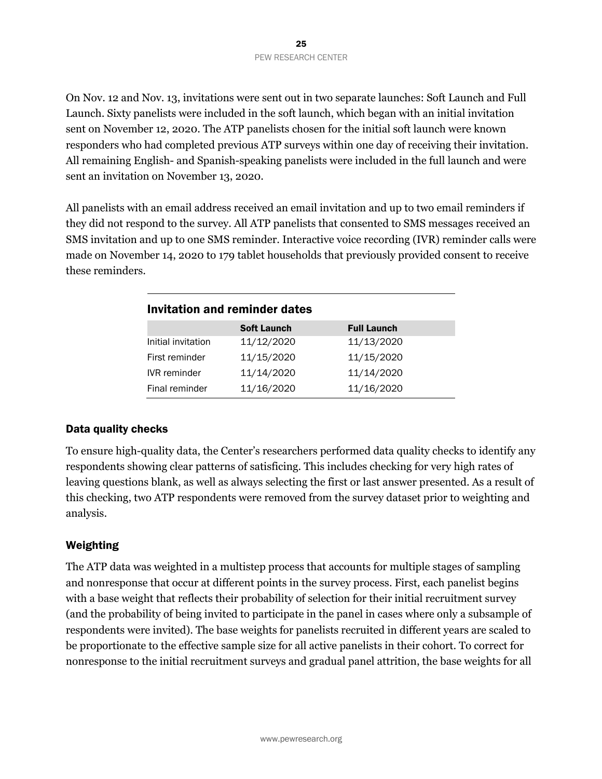On Nov. 12 and Nov. 13, invitations were sent out in two separate launches: Soft Launch and Full Launch. Sixty panelists were included in the soft launch, which began with an initial invitation sent on November 12, 2020. The ATP panelists chosen for the initial soft launch were known responders who had completed previous ATP surveys within one day of receiving their invitation. All remaining English- and Spanish-speaking panelists were included in the full launch and were sent an invitation on November 13, 2020.

All panelists with an email address received an email invitation and up to two email reminders if they did not respond to the survey. All ATP panelists that consented to SMS messages received an SMS invitation and up to one SMS reminder. Interactive voice recording (IVR) reminder calls were made on November 14, 2020 to 179 tablet households that previously provided consent to receive these reminders.

| Invitation and reminder dates |                    |                    |  |
|-------------------------------|--------------------|--------------------|--|
|                               | <b>Soft Launch</b> | <b>Full Launch</b> |  |
| Initial invitation            | 11/12/2020         | 11/13/2020         |  |
| First reminder                | 11/15/2020         | 11/15/2020         |  |
| <b>IVR</b> reminder           | 11/14/2020         | 11/14/2020         |  |
| Final reminder                | 11/16/2020         | 11/16/2020         |  |

#### Data quality checks

To ensure high-quality data, the Center's researchers performed data quality checks to identify any respondents showing clear patterns of satisficing. This includes checking for very high rates of leaving questions blank, as well as always selecting the first or last answer presented. As a result of this checking, two ATP respondents were removed from the survey dataset prior to weighting and analysis.

#### Weighting

The ATP data was weighted in a multistep process that accounts for multiple stages of sampling and nonresponse that occur at different points in the survey process. First, each panelist begins with a base weight that reflects their probability of selection for their initial recruitment survey (and the probability of being invited to participate in the panel in cases where only a subsample of respondents were invited). The base weights for panelists recruited in different years are scaled to be proportionate to the effective sample size for all active panelists in their cohort. To correct for nonresponse to the initial recruitment surveys and gradual panel attrition, the base weights for all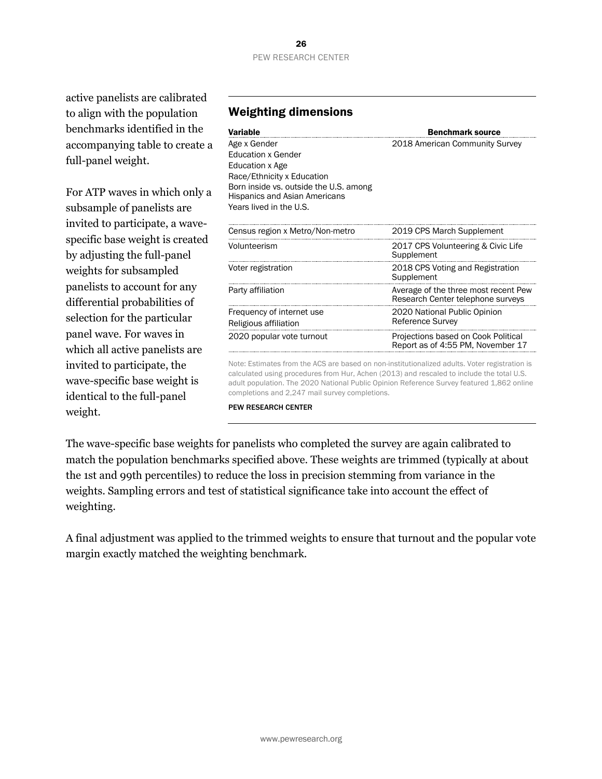active panelists are calibrated to align with the population benchmarks identified in the accompanying table to create a full-panel weight.

For ATP waves in which only a subsample of panelists are invited to participate, a wavespecific base weight is created by adjusting the full-panel weights for subsampled panelists to account for any differential probabilities of selection for the particular panel wave. For waves in which all active panelists are invited to participate, the wave-specific base weight is identical to the full-panel weight.

#### **Variable Benchmark source** Age x Gender Education x Gender Education x Age Race/Ethnicity x Education Born inside vs. outside the U.S. among Hispanics and Asian Americans Years lived in the U.S. 2018 American Community Survey Census region x Metro/Non-metro 2019 CPS March Supplement Volunteerism 2017 CPS Volunteering & Civic Life **Supplement** Voter registration 2018 CPS Voting and Registration Supplement Party affiliation **Party and Average of the three most recent Pew** Research Center telephone surveys Frequency of internet use Religious affiliation 2020 National Public Opinion Reference Survey 2020 popular vote turnout Projections based on Cook Political Report as of 4:55 PM, November 17 Note: Estimates from the ACS are based on non-institutionalized adults. Voter registration is

calculated using procedures from Hur, Achen (2013) and rescaled to include the total U.S. adult population. The 2020 National Public Opinion Reference Survey featured 1,862 online completions and 2,247 mail survey completions.

PEW RESEARCH CENTER

The wave-specific base weights for panelists who completed the survey are again calibrated to match the population benchmarks specified above. These weights are trimmed (typically at about the 1st and 99th percentiles) to reduce the loss in precision stemming from variance in the weights. Sampling errors and test of statistical significance take into account the effect of weighting.

A final adjustment was applied to the trimmed weights to ensure that turnout and the popular vote margin exactly matched the weighting benchmark.

#### Weighting dimensions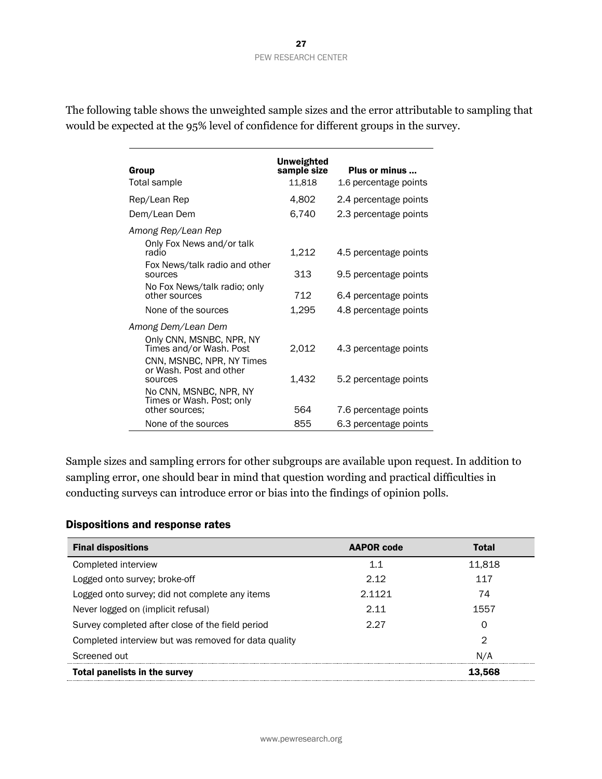The following table shows the unweighted sample sizes and the error attributable to sampling that would be expected at the 95% level of confidence for different groups in the survey.

| Group<br>Total sample                                                                                                                | <b>Unweighted</b><br>sample size<br>11,818 | Plus or minus<br>1.6 percentage points         |
|--------------------------------------------------------------------------------------------------------------------------------------|--------------------------------------------|------------------------------------------------|
| Rep/Lean Rep                                                                                                                         | 4,802                                      | 2.4 percentage points                          |
| Dem/Lean Dem                                                                                                                         | 6,740                                      | 2.3 percentage points                          |
| Among Rep/Lean Rep<br>Only Fox News and/or talk<br>radio<br>Fox News/talk radio and other<br>sources<br>No Fox News/talk radio; only | 1,212<br>313                               | 4.5 percentage points<br>9.5 percentage points |
| other sources                                                                                                                        | 712                                        | 6.4 percentage points                          |
| None of the sources                                                                                                                  | 1,295                                      | 4.8 percentage points                          |
| Among Dem/Lean Dem                                                                                                                   |                                            |                                                |
| Only CNN, MSNBC, NPR, NY<br>Times and/or Wash. Post<br>CNN, MSNBC, NPR, NY Times                                                     | 2,012                                      | 4.3 percentage points                          |
| or Wash. Post and other<br>sources                                                                                                   | 1,432                                      | 5.2 percentage points                          |
| No CNN, MSNBC, NPR, NY<br>Times or Wash. Post; only<br>other sources;                                                                | 564                                        | 7.6 percentage points                          |
| None of the sources                                                                                                                  | 855                                        | 6.3 percentage points                          |

Sample sizes and sampling errors for other subgroups are available upon request. In addition to sampling error, one should bear in mind that question wording and practical difficulties in conducting surveys can introduce error or bias into the findings of opinion polls.

#### Dispositions and response rates

| <b>Final dispositions</b>                            | <b>AAPOR code</b> | <b>Total</b>   |
|------------------------------------------------------|-------------------|----------------|
| Completed interview                                  | 1.1               | 11,818         |
| Logged onto survey; broke-off                        | 2.12              | 117            |
| Logged onto survey; did not complete any items       | 2.1121            | 74             |
| Never logged on (implicit refusal)                   | 2.11              | 1557           |
| Survey completed after close of the field period     | 2.27              | O              |
| Completed interview but was removed for data quality |                   | $\overline{2}$ |
| Screened out                                         |                   | N/A            |
| <b>Total panelists in the survey</b>                 |                   | 13.568         |